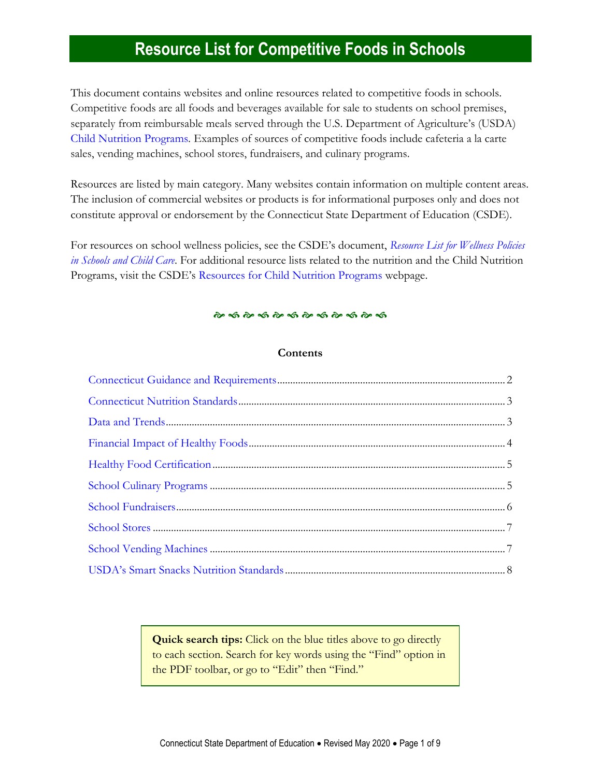This document contains websites and online resources related to competitive foods in schools. Competitive foods are all foods and beverages available for sale to students on school premises, separately from reimbursable meals served through the U.S. Department of Agriculture's (USDA) [Child Nutrition Programs.](https://portal.ct.gov/SDE/Nutrition/Child-Nutrition-Programs) Examples of sources of competitive foods include cafeteria a la carte sales, vending machines, school stores, fundraisers, and culinary programs.

Resources are listed by main category. Many websites contain information on multiple content areas. The inclusion of commercial websites or products is for informational purposes only and does not constitute approval or endorsement by the Connecticut State Department of Education (CSDE).

For resources on school wellness policies, see the CSDE's document, *[Resource List for Wellness Policies](https://portal.ct.gov/-/media/SDE/Nutrition/Resources/ResourcesWellnessPolicy.pdf)  in [Schools and Child Care](https://portal.ct.gov/-/media/SDE/Nutrition/Resources/ResourcesWellnessPolicy.pdf)*. For additional resource lists related to the nutrition and the Child Nutrition Programs, visit the CSDE's [Resources for Child Nutrition Programs](https://portal.ct.gov/SDE/Nutrition/Resources-for-Child-Nutrition-Programs) webpage.

#### 

#### **Contents**

**Quick search tips:** Click on the blue titles above to go directly to each section. Search for key words using the "Find" option in the PDF toolbar, or go to "Edit" then "Find."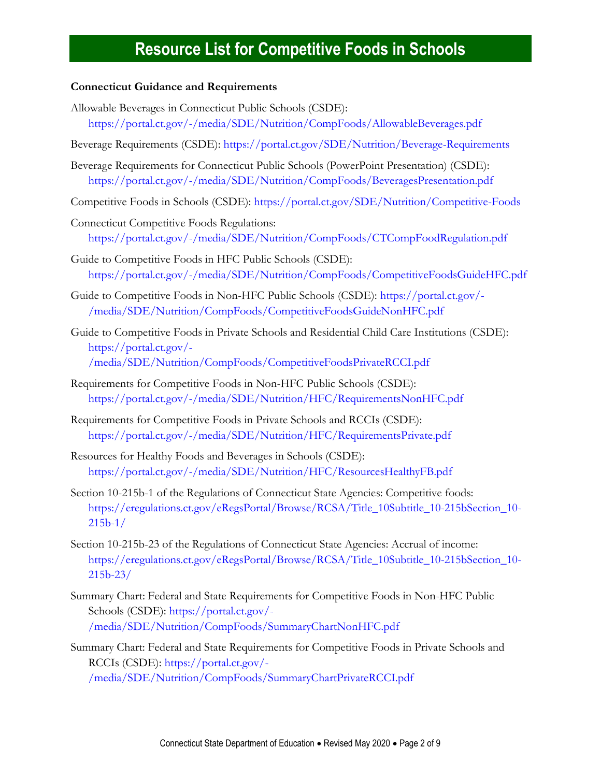#### <span id="page-1-0"></span>**Connecticut Guidance and Requirements**

- Allowable Beverages in Connecticut Public Schools (CSDE): <https://portal.ct.gov/-/media/SDE/Nutrition/CompFoods/AllowableBeverages.pdf>
- Beverage Requirements (CSDE):<https://portal.ct.gov/SDE/Nutrition/Beverage-Requirements>
- Beverage Requirements for Connecticut Public Schools (PowerPoint Presentation) (CSDE): <https://portal.ct.gov/-/media/SDE/Nutrition/CompFoods/BeveragesPresentation.pdf>
- Competitive Foods in Schools (CSDE):<https://portal.ct.gov/SDE/Nutrition/Competitive-Foods>
- Connecticut Competitive Foods Regulations: <https://portal.ct.gov/-/media/SDE/Nutrition/CompFoods/CTCompFoodRegulation.pdf>
- Guide to Competitive Foods in HFC Public Schools (CSDE): <https://portal.ct.gov/-/media/SDE/Nutrition/CompFoods/CompetitiveFoodsGuideHFC.pdf>
- Guide to Competitive Foods in Non-HFC Public Schools (CSDE): [https://portal.ct.gov/-](https://portal.ct.gov/-%20/media/SDE/Nutrition/CompFoods/CompetitiveFoodsGuideNonHFC.pdf) [/media/SDE/Nutrition/CompFoods/CompetitiveFoodsGuideNonHFC.pdf](https://portal.ct.gov/-%20/media/SDE/Nutrition/CompFoods/CompetitiveFoodsGuideNonHFC.pdf)
- Guide to Competitive Foods in Private Schools and Residential Child Care Institutions (CSDE): [https://portal.ct.gov/-](https://portal.ct.gov/-%20/media/SDE/Nutrition/CompFoods/CompetitiveFoodsPrivateRCCI.pdf) [/media/SDE/Nutrition/CompFoods/CompetitiveFoodsPrivateRCCI.pdf](https://portal.ct.gov/-%20/media/SDE/Nutrition/CompFoods/CompetitiveFoodsPrivateRCCI.pdf)
- Requirements for Competitive Foods in Non-HFC Public Schools (CSDE): <https://portal.ct.gov/-/media/SDE/Nutrition/HFC/RequirementsNonHFC.pdf>
- Requirements for Competitive Foods in Private Schools and RCCIs (CSDE): <https://portal.ct.gov/-/media/SDE/Nutrition/HFC/RequirementsPrivate.pdf>
- Resources for Healthy Foods and Beverages in Schools (CSDE): <https://portal.ct.gov/-/media/SDE/Nutrition/HFC/ResourcesHealthyFB.pdf>
- Section 10-215b-1 of the Regulations of Connecticut State Agencies: Competitive foods: [https://eregulations.ct.gov/eRegsPortal/Browse/RCSA/Title\\_10Subtitle\\_10-215bSection\\_10-](https://eregulations.ct.gov/eRegsPortal/Browse/RCSA/Title_10Subtitle_10-215bSection_10-215b-1/) [215b-1/](https://eregulations.ct.gov/eRegsPortal/Browse/RCSA/Title_10Subtitle_10-215bSection_10-215b-1/)
- Section 10-215b-23 of the Regulations of Connecticut State Agencies: Accrual of income: [https://eregulations.ct.gov/eRegsPortal/Browse/RCSA/Title\\_10Subtitle\\_10-215bSection\\_10-](https://eregulations.ct.gov/eRegsPortal/Browse/RCSA/Title_10Subtitle_10-215bSection_10-215b-23/) [215b-23/](https://eregulations.ct.gov/eRegsPortal/Browse/RCSA/Title_10Subtitle_10-215bSection_10-215b-23/)
- Summary Chart: Federal and State Requirements for Competitive Foods in Non-HFC Public Schools (CSDE): [https://portal.ct.gov/-](https://portal.ct.gov/-/media/SDE/Nutrition/CompFoods/SummaryChartNonHFC.pdf) [/media/SDE/Nutrition/CompFoods/SummaryChartNonHFC.pdf](https://portal.ct.gov/-/media/SDE/Nutrition/CompFoods/SummaryChartNonHFC.pdf)
- Summary Chart: Federal and State Requirements for Competitive Foods in Private Schools and RCCIs (CSDE): [https://portal.ct.gov/-](https://portal.ct.gov/-/media/SDE/Nutrition/CompFoods/SummaryChartPrivateRCCI.pdf) [/media/SDE/Nutrition/CompFoods/SummaryChartPrivateRCCI.pdf](https://portal.ct.gov/-/media/SDE/Nutrition/CompFoods/SummaryChartPrivateRCCI.pdf)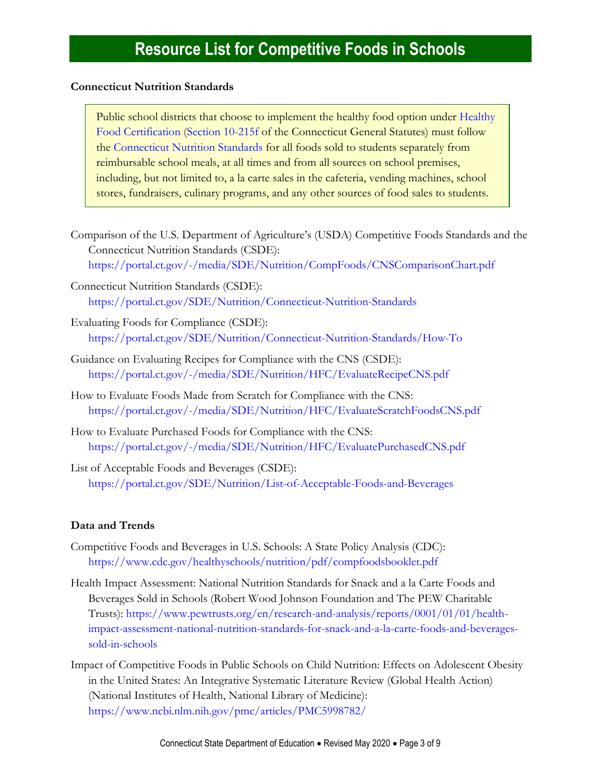### <span id="page-2-0"></span>**Connecticut Nutrition Standards**

Public school districts that choose to implement the healthy food option under [Healthy](https://portal.ct.gov/SDE/Nutrition/Healthy-Food-Certification)  [Food Certification](https://portal.ct.gov/SDE/Nutrition/Healthy-Food-Certification) [\(Section 10-215f](https://www.cga.ct.gov/current/pub/chap_169.htm#sec_10-215f) of the Connecticut General Statutes) must follow the [Connecticut Nutrition Standards](https://portal.ct.gov/SDE/Nutrition/Connecticut-Nutrition-Standards) for all foods sold to students separately from reimbursable school meals, at all times and from all sources on school premises, including, but not limited to, a la carte sales in the cafeteria, vending machines, school stores, fundraisers, culinary programs, and any other sources of food sales to students.

- Comparison of the U.S. Department of Agriculture's (USDA) Competitive Foods Standards and the Connecticut Nutrition Standards (CSDE): <https://portal.ct.gov/-/media/SDE/Nutrition/CompFoods/CNSComparisonChart.pdf>
- Connecticut Nutrition Standards (CSDE): <https://portal.ct.gov/SDE/Nutrition/Connecticut-Nutrition-Standards>
- Evaluating Foods for Compliance (CSDE): <https://portal.ct.gov/SDE/Nutrition/Connecticut-Nutrition-Standards/How-To>
- Guidance on Evaluating Recipes for Compliance with the CNS (CSDE): <https://portal.ct.gov/-/media/SDE/Nutrition/HFC/EvaluateRecipeCNS.pdf>
- How to Evaluate Foods Made from Scratch for Compliance with the CNS: <https://portal.ct.gov/-/media/SDE/Nutrition/HFC/EvaluateScratchFoodsCNS.pdf>
- How to Evaluate Purchased Foods for Compliance with the CNS: <https://portal.ct.gov/-/media/SDE/Nutrition/HFC/EvaluatePurchasedCNS.pdf>

List of Acceptable Foods and Beverages (CSDE): <https://portal.ct.gov/SDE/Nutrition/List-of-Acceptable-Foods-and-Beverages>

### <span id="page-2-1"></span>**Data and Trends**

- Competitive Foods and Beverages in U.S. Schools: A State Policy Analysis (CDC): <https://www.cdc.gov/healthyschools/nutrition/pdf/compfoodsbooklet.pdf>
- Health Impact Assessment: National Nutrition Standards for Snack and a la Carte Foods and Beverages Sold in Schools (Robert Wood Johnson Foundation and The PEW Charitable Trusts): [https://www.pewtrusts.org/en/research-and-analysis/reports/0001/01/01/health](https://www.pewtrusts.org/en/research-and-analysis/reports/0001/01/01/health-impact-assessment-national-nutrition-standards-for-snack-and-a-la-carte-foods-and-beverages-sold-in-schools)[impact-assessment-national-nutrition-standards-for-snack-and-a-la-carte-foods-and-beverages](https://www.pewtrusts.org/en/research-and-analysis/reports/0001/01/01/health-impact-assessment-national-nutrition-standards-for-snack-and-a-la-carte-foods-and-beverages-sold-in-schools)[sold-in-schools](https://www.pewtrusts.org/en/research-and-analysis/reports/0001/01/01/health-impact-assessment-national-nutrition-standards-for-snack-and-a-la-carte-foods-and-beverages-sold-in-schools)
- Impact of Competitive Foods in Public Schools on Child Nutrition: Effects on Adolescent Obesity in the United States: An Integrative Systematic Literature Review (Global Health Action) (National Institutes of Health, National Library of Medicine): <https://www.ncbi.nlm.nih.gov/pmc/articles/PMC5998782/>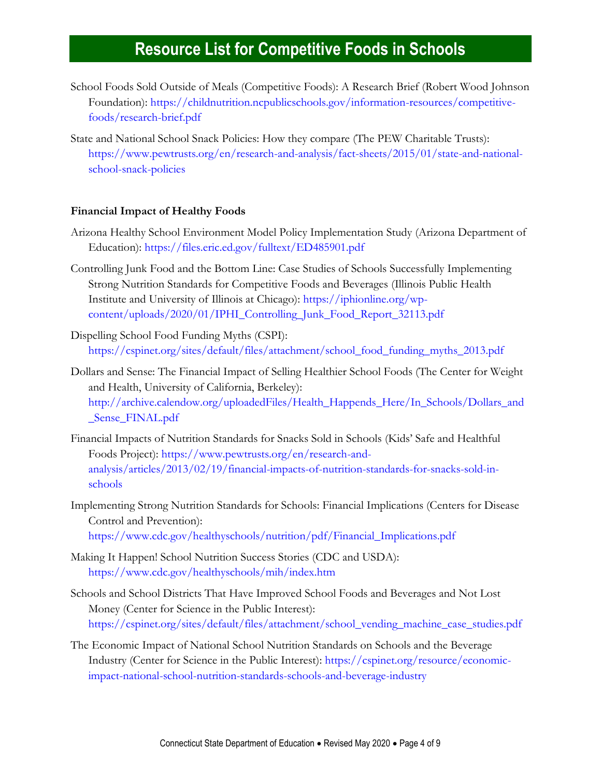- School Foods Sold Outside of Meals (Competitive Foods): A Research Brief (Robert Wood Johnson Foundation): [https://childnutrition.ncpublicschools.gov/information-resources/competitive](https://childnutrition.ncpublicschools.gov/information-resources/competitive-foods/research-brief.pdf)[foods/research-brief.pdf](https://childnutrition.ncpublicschools.gov/information-resources/competitive-foods/research-brief.pdf)
- State and National School Snack Policies: How they compare (The PEW Charitable Trusts): [https://www.pewtrusts.org/en/research-and-analysis/fact-sheets/2015/01/state-and-national](https://www.pewtrusts.org/en/research-and-analysis/fact-sheets/2015/01/state-and-national-school-snack-policies)[school-snack-policies](https://www.pewtrusts.org/en/research-and-analysis/fact-sheets/2015/01/state-and-national-school-snack-policies)

#### <span id="page-3-0"></span>**Financial Impact of Healthy Foods**

- Arizona Healthy School Environment Model Policy Implementation Study (Arizona Department of Education):<https://files.eric.ed.gov/fulltext/ED485901.pdf>
- Controlling Junk Food and the Bottom Line: Case Studies of Schools Successfully Implementing Strong Nutrition Standards for Competitive Foods and Beverages (Illinois Public Health Institute and University of Illinois at Chicago): [https://iphionline.org/wp](https://iphionline.org/wp-content/uploads/2020/01/IPHI_Controlling_Junk_Food_Report_32113.pdf)[content/uploads/2020/01/IPHI\\_Controlling\\_Junk\\_Food\\_Report\\_32113.pdf](https://iphionline.org/wp-content/uploads/2020/01/IPHI_Controlling_Junk_Food_Report_32113.pdf)
- Dispelling School Food Funding Myths (CSPI): [https://cspinet.org/sites/default/files/attachment/school\\_food\\_funding\\_myths\\_2013.pdf](https://cspinet.org/sites/default/files/attachment/school_food_funding_myths_2013.pdf)
- Dollars and Sense: The Financial Impact of Selling Healthier School Foods (The Center for Weight and Health, University of California, Berkeley): [http://archive.calendow.org/uploadedFiles/Health\\_Happends\\_Here/In\\_Schools/Dollars\\_and](http://archive.calendow.org/uploadedFiles/Health_Happends_Here/In_Schools/Dollars_and_Sense_FINAL.pdf) [\\_Sense\\_FINAL.pdf](http://archive.calendow.org/uploadedFiles/Health_Happends_Here/In_Schools/Dollars_and_Sense_FINAL.pdf)
- Financial Impacts of Nutrition Standards for Snacks Sold in Schools (Kids' Safe and Healthful Foods Project): [https://www.pewtrusts.org/en/research-and](https://www.pewtrusts.org/en/research-and-analysis/articles/2013/02/19/financial-impacts-of-nutrition-standards-for-snacks-sold-in-schools)[analysis/articles/2013/02/19/financial-impacts-of-nutrition-standards-for-snacks-sold-in](https://www.pewtrusts.org/en/research-and-analysis/articles/2013/02/19/financial-impacts-of-nutrition-standards-for-snacks-sold-in-schools)[schools](https://www.pewtrusts.org/en/research-and-analysis/articles/2013/02/19/financial-impacts-of-nutrition-standards-for-snacks-sold-in-schools)
- Implementing Strong Nutrition Standards for Schools: Financial Implications (Centers for Disease Control and Prevention): [https://www.cdc.gov/healthyschools/nutrition/pdf/Financial\\_Implications.pdf](https://www.cdc.gov/healthyschools/nutrition/pdf/Financial_Implications.pdf)
- Making It Happen! School Nutrition Success Stories (CDC and USDA): <https://www.cdc.gov/healthyschools/mih/index.htm>
- Schools and School Districts That Have Improved School Foods and Beverages and Not Lost Money (Center for Science in the Public Interest): [https://cspinet.org/sites/default/files/attachment/school\\_vending\\_machine\\_case\\_studies.pdf](https://cspinet.org/sites/default/files/attachment/school_vending_machine_case_studies.pdf)
- <span id="page-3-1"></span>The Economic Impact of National School Nutrition Standards on Schools and the Beverage Industry (Center for Science in the Public Interest): [https://cspinet.org/resource/economic](https://cspinet.org/resource/economic-impact-national-school-nutrition-standards-schools-and-beverage-industry)[impact-national-school-nutrition-standards-schools-and-beverage-industry](https://cspinet.org/resource/economic-impact-national-school-nutrition-standards-schools-and-beverage-industry)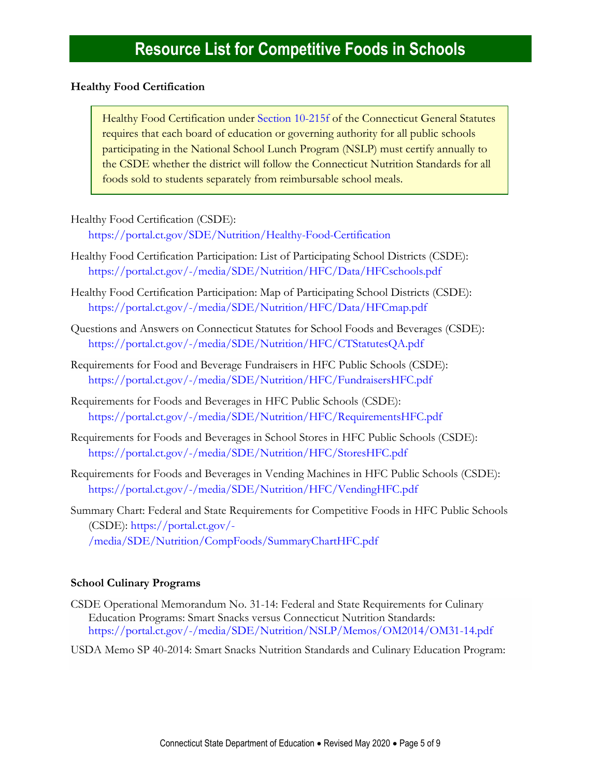### **Healthy Food Certification**

Healthy Food Certification under [Section 10-215f](https://www.cga.ct.gov/current/pub/chap_169.htm#sec_10-215f) of the Connecticut General Statutes requires that each board of education or governing authority for all public schools participating in the National School Lunch Program (NSLP) must certify annually to the CSDE whether the district will follow the Connecticut Nutrition Standards for all foods sold to students separately from reimbursable school meals.

Healthy Food Certification (CSDE):

<https://portal.ct.gov/SDE/Nutrition/Healthy-Food-Certification>

- Healthy Food Certification Participation: List of Participating School Districts (CSDE): <https://portal.ct.gov/-/media/SDE/Nutrition/HFC/Data/HFCschools.pdf>
- Healthy Food Certification Participation: Map of Participating School Districts (CSDE): <https://portal.ct.gov/-/media/SDE/Nutrition/HFC/Data/HFCmap.pdf>
- Questions and Answers on Connecticut Statutes for School Foods and Beverages (CSDE): <https://portal.ct.gov/-/media/SDE/Nutrition/HFC/CTStatutesQA.pdf>
- Requirements for Food and Beverage Fundraisers in HFC Public Schools (CSDE): <https://portal.ct.gov/-/media/SDE/Nutrition/HFC/FundraisersHFC.pdf>
- Requirements for Foods and Beverages in HFC Public Schools (CSDE): <https://portal.ct.gov/-/media/SDE/Nutrition/HFC/RequirementsHFC.pdf>
- Requirements for Foods and Beverages in School Stores in HFC Public Schools (CSDE): <https://portal.ct.gov/-/media/SDE/Nutrition/HFC/StoresHFC.pdf>
- Requirements for Foods and Beverages in Vending Machines in HFC Public Schools (CSDE): <https://portal.ct.gov/-/media/SDE/Nutrition/HFC/VendingHFC.pdf>
- Summary Chart: Federal and State Requirements for Competitive Foods in HFC Public Schools (CSDE): [https://portal.ct.gov/-](https://portal.ct.gov/-/media/SDE/Nutrition/CompFoods/SummaryChartHFC.pdf) [/media/SDE/Nutrition/CompFoods/SummaryChartHFC.pdf](https://portal.ct.gov/-/media/SDE/Nutrition/CompFoods/SummaryChartHFC.pdf)

### <span id="page-4-0"></span>**School Culinary Programs**

CSDE Operational Memorandum No. 31-14: Federal and State Requirements for Culinary Education Programs: Smart Snacks versus Connecticut Nutrition Standards: <https://portal.ct.gov/-/media/SDE/Nutrition/NSLP/Memos/OM2014/OM31-14.pdf>

USDA Memo SP 40-2014: Smart Snacks Nutrition Standards and Culinary Education Program: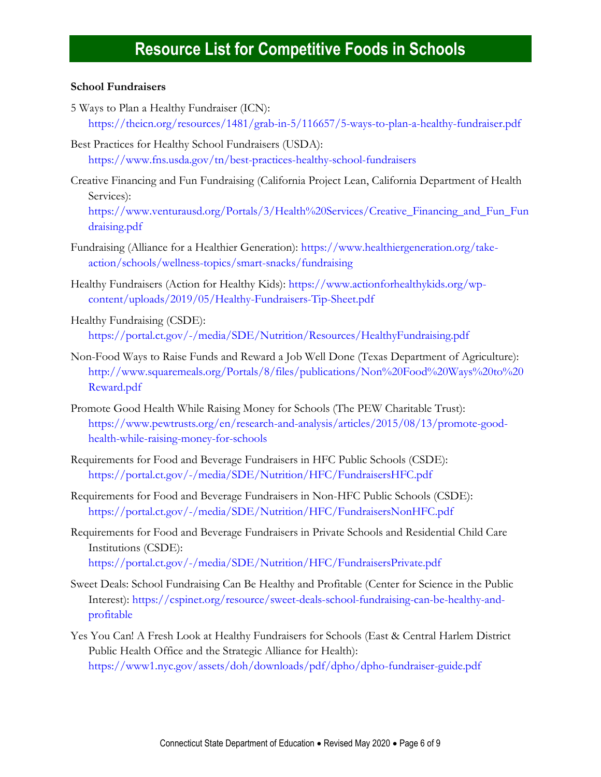#### <span id="page-5-0"></span>**School Fundraisers**

- 5 Ways to Plan a Healthy Fundraiser (ICN): <https://theicn.org/resources/1481/grab-in-5/116657/5-ways-to-plan-a-healthy-fundraiser.pdf>
- Best Practices for Healthy School Fundraisers (USDA): <https://www.fns.usda.gov/tn/best-practices-healthy-school-fundraisers>
- Creative Financing and Fun Fundraising (California Project Lean, California Department of Health Services):

[https://www.venturausd.org/Portals/3/Health%20Services/Creative\\_Financing\\_and\\_Fun\\_Fun](https://www.venturausd.org/Portals/3/Health%20Services/Creative_Financing_and_Fun_Fundraising.pdf) [draising.pdf](https://www.venturausd.org/Portals/3/Health%20Services/Creative_Financing_and_Fun_Fundraising.pdf)

- Fundraising (Alliance for a Healthier Generation): [https://www.healthiergeneration.org/take](https://www.healthiergeneration.org/take-action/schools/wellness-topics/smart-snacks/fundraising)[action/schools/wellness-topics/smart-snacks/fundraising](https://www.healthiergeneration.org/take-action/schools/wellness-topics/smart-snacks/fundraising)
- Healthy Fundraisers (Action for Healthy Kids): [https://www.actionforhealthykids.org/wp](https://www.actionforhealthykids.org/wp-content/uploads/2019/05/Healthy-Fundraisers-Tip-Sheet.pdf)[content/uploads/2019/05/Healthy-Fundraisers-Tip-Sheet.pdf](https://www.actionforhealthykids.org/wp-content/uploads/2019/05/Healthy-Fundraisers-Tip-Sheet.pdf)
- Healthy Fundraising (CSDE): <https://portal.ct.gov/-/media/SDE/Nutrition/Resources/HealthyFundraising.pdf>
- Non-Food Ways to Raise Funds and Reward a Job Well Done (Texas Department of Agriculture): [http://www.squaremeals.org/Portals/8/files/publications/Non%20Food%20Ways%20to%20](http://www.squaremeals.org/Portals/8/files/publications/Non%20Food%20Ways%20to%20Reward.pdf) [Reward.pdf](http://www.squaremeals.org/Portals/8/files/publications/Non%20Food%20Ways%20to%20Reward.pdf)
- Promote Good Health While Raising Money for Schools (The PEW Charitable Trust): [https://www.pewtrusts.org/en/research-and-analysis/articles/2015/08/13/promote-good](https://www.pewtrusts.org/en/research-and-analysis/articles/2015/08/13/promote-good-health-while-raising-money-for-schools)[health-while-raising-money-for-schools](https://www.pewtrusts.org/en/research-and-analysis/articles/2015/08/13/promote-good-health-while-raising-money-for-schools)
- Requirements for Food and Beverage Fundraisers in HFC Public Schools (CSDE): <https://portal.ct.gov/-/media/SDE/Nutrition/HFC/FundraisersHFC.pdf>
- Requirements for Food and Beverage Fundraisers in Non-HFC Public Schools (CSDE): <https://portal.ct.gov/-/media/SDE/Nutrition/HFC/FundraisersNonHFC.pdf>
- Requirements for Food and Beverage Fundraisers in Private Schools and Residential Child Care Institutions (CSDE): <https://portal.ct.gov/-/media/SDE/Nutrition/HFC/FundraisersPrivate.pdf>
- Sweet Deals: School Fundraising Can Be Healthy and Profitable (Center for Science in the Public Interest): [https://cspinet.org/resource/sweet-deals-school-fundraising-can-be-healthy-and](https://cspinet.org/resource/sweet-deals-school-fundraising-can-be-healthy-and-profitable)[profitable](https://cspinet.org/resource/sweet-deals-school-fundraising-can-be-healthy-and-profitable)
- Yes You Can! A Fresh Look at Healthy Fundraisers for Schools (East & Central Harlem District Public Health Office and the Strategic Alliance for Health): <https://www1.nyc.gov/assets/doh/downloads/pdf/dpho/dpho-fundraiser-guide.pdf>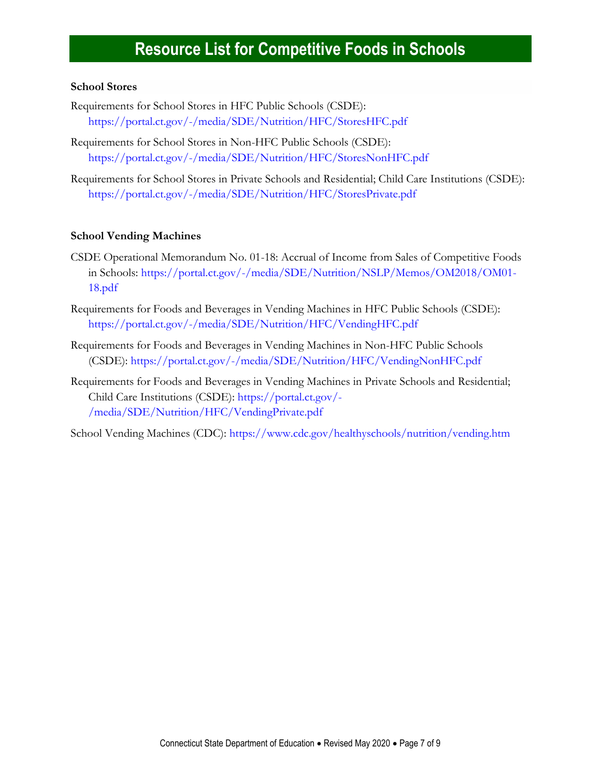### **School Stores**

- Requirements for School Stores in HFC Public Schools (CSDE): <https://portal.ct.gov/-/media/SDE/Nutrition/HFC/StoresHFC.pdf>
- Requirements for School Stores in Non-HFC Public Schools (CSDE): <https://portal.ct.gov/-/media/SDE/Nutrition/HFC/StoresNonHFC.pdf>
- Requirements for School Stores in Private Schools and Residential; Child Care Institutions (CSDE): <https://portal.ct.gov/-/media/SDE/Nutrition/HFC/StoresPrivate.pdf>

#### <span id="page-6-0"></span>**School Vending Machines**

- CSDE Operational Memorandum No. 01-18: Accrual of Income from Sales of Competitive Foods in Schools: [https://portal.ct.gov/-/media/SDE/Nutrition/NSLP/Memos/OM2018/OM01-](https://portal.ct.gov/-/media/SDE/Nutrition/NSLP/Memos/OM2018/OM01-18.pdf) [18.pdf](https://portal.ct.gov/-/media/SDE/Nutrition/NSLP/Memos/OM2018/OM01-18.pdf)
- Requirements for Foods and Beverages in Vending Machines in HFC Public Schools (CSDE): <https://portal.ct.gov/-/media/SDE/Nutrition/HFC/VendingHFC.pdf>
- Requirements for Foods and Beverages in Vending Machines in Non-HFC Public Schools (CSDE):<https://portal.ct.gov/-/media/SDE/Nutrition/HFC/VendingNonHFC.pdf>
- Requirements for Foods and Beverages in Vending Machines in Private Schools and Residential; Child Care Institutions (CSDE): [https://portal.ct.gov/-](https://portal.ct.gov/-/media/SDE/Nutrition/HFC/VendingPrivate.pdf) [/media/SDE/Nutrition/HFC/VendingPrivate.pdf](https://portal.ct.gov/-/media/SDE/Nutrition/HFC/VendingPrivate.pdf)

School Vending Machines (CDC): <https://www.cdc.gov/healthyschools/nutrition/vending.htm>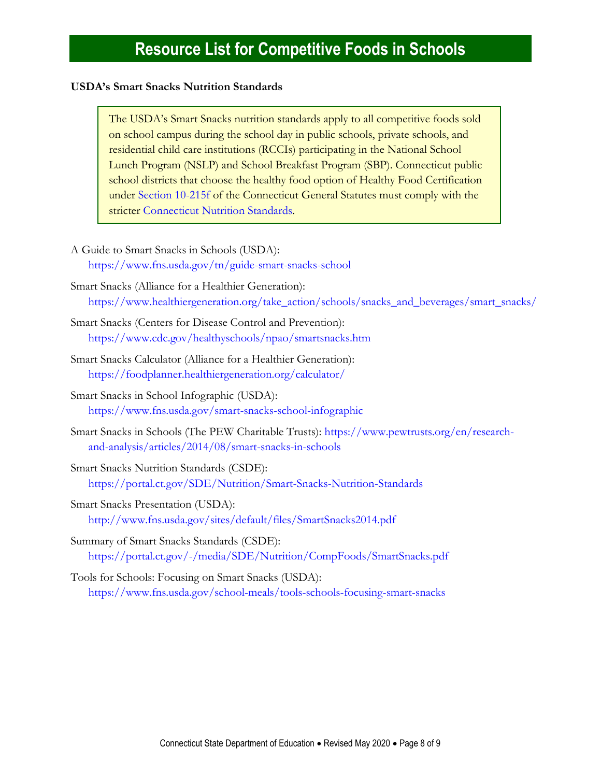### **USDA's Smart Snacks Nutrition Standards**

The USDA's Smart Snacks nutrition standards apply to all competitive foods sold on school campus during the school day in public schools, private schools, and residential child care institutions (RCCIs) participating in the National School Lunch Program (NSLP) and School Breakfast Program (SBP). Connecticut public school districts that choose the healthy food option of Healthy Food Certification under [Section 10-215f](https://www.cga.ct.gov/current/pub/chap_169.htm#sec_10-215f) of the Connecticut General Statutes must comply with the stricter [Connecticut Nutrition Standards.](https://portal.ct.gov/SDE/Nutrition/Connecticut-Nutrition-Standards)

- A Guide to Smart Snacks in Schools (USDA): <https://www.fns.usda.gov/tn/guide-smart-snacks-school>
- Smart Snacks (Alliance for a Healthier Generation): [https://www.healthiergeneration.org/take\\_action/schools/snacks\\_and\\_beverages/smart\\_snacks/](https://www.healthiergeneration.org/take_action/schools/snacks_and_beverages/smart_snacks/)
- Smart Snacks (Centers for Disease Control and Prevention): <https://www.cdc.gov/healthyschools/npao/smartsnacks.htm>
- Smart Snacks Calculator (Alliance for a Healthier Generation): <https://foodplanner.healthiergeneration.org/calculator/>
- Smart Snacks in School Infographic (USDA): <https://www.fns.usda.gov/smart-snacks-school-infographic>
- Smart Snacks in Schools (The PEW Charitable Trusts): [https://www.pewtrusts.org/en/research](https://www.pewtrusts.org/en/research-and-analysis/articles/2014/08/smart-snacks-in-schools)[and-analysis/articles/2014/08/smart-snacks-in-schools](https://www.pewtrusts.org/en/research-and-analysis/articles/2014/08/smart-snacks-in-schools)
- Smart Snacks Nutrition Standards (CSDE): <https://portal.ct.gov/SDE/Nutrition/Smart-Snacks-Nutrition-Standards>
- Smart Snacks Presentation (USDA): <http://www.fns.usda.gov/sites/default/files/SmartSnacks2014.pdf>
- Summary of Smart Snacks Standards (CSDE): <https://portal.ct.gov/-/media/SDE/Nutrition/CompFoods/SmartSnacks.pdf>
- Tools for Schools: Focusing on Smart Snacks (USDA): <https://www.fns.usda.gov/school-meals/tools-schools-focusing-smart-snacks>